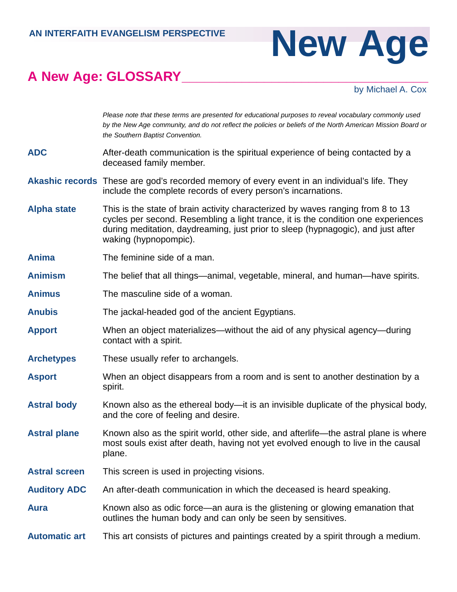## **A New Age: GLOSSARY\_\_\_\_\_\_\_\_\_\_\_\_\_\_\_\_\_\_\_\_\_\_\_\_\_\_\_\_\_\_\_\_\_**

## AN INTERFAITH EVANGELISM PERSPECTIVE NEW AGE

## by Michael A. Cox

|                      | by the New Age community, and do not reflect the policies or beliefs of the North American Mission Board or<br>the Southern Baptist Convention.                                                                                                                                   |
|----------------------|-----------------------------------------------------------------------------------------------------------------------------------------------------------------------------------------------------------------------------------------------------------------------------------|
| <b>ADC</b>           | After-death communication is the spiritual experience of being contacted by a<br>deceased family member.                                                                                                                                                                          |
|                      | <b>Akashic records</b> These are god's recorded memory of every event in an individual's life. They<br>include the complete records of every person's incarnations.                                                                                                               |
| <b>Alpha state</b>   | This is the state of brain activity characterized by waves ranging from 8 to 13<br>cycles per second. Resembling a light trance, it is the condition one experiences<br>during meditation, daydreaming, just prior to sleep (hypnagogic), and just after<br>waking (hypnopompic). |
| <b>Anima</b>         | The feminine side of a man.                                                                                                                                                                                                                                                       |
| <b>Animism</b>       | The belief that all things—animal, vegetable, mineral, and human—have spirits.                                                                                                                                                                                                    |
| <b>Animus</b>        | The masculine side of a woman.                                                                                                                                                                                                                                                    |
| <b>Anubis</b>        | The jackal-headed god of the ancient Egyptians.                                                                                                                                                                                                                                   |
| <b>Apport</b>        | When an object materializes—without the aid of any physical agency—during<br>contact with a spirit.                                                                                                                                                                               |
| <b>Archetypes</b>    | These usually refer to archangels.                                                                                                                                                                                                                                                |
| <b>Asport</b>        | When an object disappears from a room and is sent to another destination by a<br>spirit.                                                                                                                                                                                          |
| <b>Astral body</b>   | Known also as the ethereal body—it is an invisible duplicate of the physical body,<br>and the core of feeling and desire.                                                                                                                                                         |
| <b>Astral plane</b>  | Known also as the spirit world, other side, and afterlife—the astral plane is where<br>most souls exist after death, having not yet evolved enough to live in the causal<br>plane.                                                                                                |
| <b>Astral screen</b> | This screen is used in projecting visions.                                                                                                                                                                                                                                        |
| <b>Auditory ADC</b>  | An after-death communication in which the deceased is heard speaking.                                                                                                                                                                                                             |
| <b>Aura</b>          | Known also as odic force—an aura is the glistening or glowing emanation that<br>outlines the human body and can only be seen by sensitives.                                                                                                                                       |
| <b>Automatic art</b> | This art consists of pictures and paintings created by a spirit through a medium.                                                                                                                                                                                                 |

Please note that these terms are presented for educational purposes to reveal vocabulary commonly used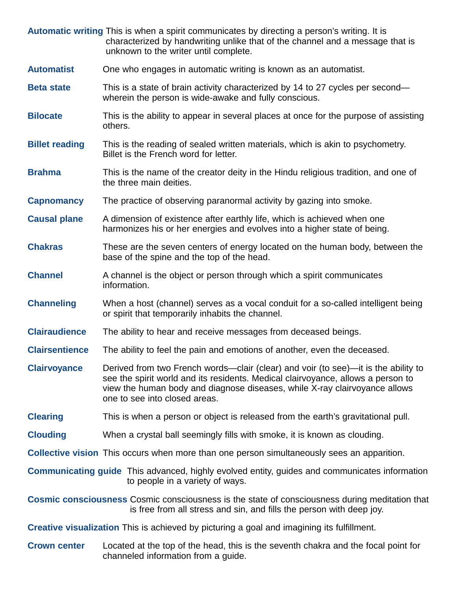|                                                                                                   | Automatic writing This is when a spirit communicates by directing a person's writing. It is<br>characterized by handwriting unlike that of the channel and a message that is<br>unknown to the writer until complete.                                                                 |  |
|---------------------------------------------------------------------------------------------------|---------------------------------------------------------------------------------------------------------------------------------------------------------------------------------------------------------------------------------------------------------------------------------------|--|
| <b>Automatist</b>                                                                                 | One who engages in automatic writing is known as an automatist.                                                                                                                                                                                                                       |  |
| <b>Beta state</b>                                                                                 | This is a state of brain activity characterized by 14 to 27 cycles per second—<br>wherein the person is wide-awake and fully conscious.                                                                                                                                               |  |
| <b>Bilocate</b>                                                                                   | This is the ability to appear in several places at once for the purpose of assisting<br>others.                                                                                                                                                                                       |  |
| <b>Billet reading</b>                                                                             | This is the reading of sealed written materials, which is akin to psychometry.<br>Billet is the French word for letter.                                                                                                                                                               |  |
| <b>Brahma</b>                                                                                     | This is the name of the creator deity in the Hindu religious tradition, and one of<br>the three main deities.                                                                                                                                                                         |  |
| <b>Capnomancy</b>                                                                                 | The practice of observing paranormal activity by gazing into smoke.                                                                                                                                                                                                                   |  |
| <b>Causal plane</b>                                                                               | A dimension of existence after earthly life, which is achieved when one<br>harmonizes his or her energies and evolves into a higher state of being.                                                                                                                                   |  |
| <b>Chakras</b>                                                                                    | These are the seven centers of energy located on the human body, between the<br>base of the spine and the top of the head.                                                                                                                                                            |  |
| <b>Channel</b>                                                                                    | A channel is the object or person through which a spirit communicates<br>information.                                                                                                                                                                                                 |  |
| <b>Channeling</b>                                                                                 | When a host (channel) serves as a vocal conduit for a so-called intelligent being<br>or spirit that temporarily inhabits the channel.                                                                                                                                                 |  |
| <b>Clairaudience</b>                                                                              | The ability to hear and receive messages from deceased beings.                                                                                                                                                                                                                        |  |
| <b>Clairsentience</b>                                                                             | The ability to feel the pain and emotions of another, even the deceased.                                                                                                                                                                                                              |  |
| <b>Clairvoyance</b>                                                                               | Derived from two French words—clair (clear) and voir (to see)—it is the ability to<br>see the spirit world and its residents. Medical clairvoyance, allows a person to<br>view the human body and diagnose diseases, while X-ray clairvoyance allows<br>one to see into closed areas. |  |
| <b>Clearing</b>                                                                                   | This is when a person or object is released from the earth's gravitational pull.                                                                                                                                                                                                      |  |
| <b>Clouding</b>                                                                                   | When a crystal ball seemingly fills with smoke, it is known as clouding.                                                                                                                                                                                                              |  |
|                                                                                                   | <b>Collective vision</b> This occurs when more than one person simultaneously sees an apparition.                                                                                                                                                                                     |  |
|                                                                                                   | <b>Communicating guide</b> This advanced, highly evolved entity, guides and communicates information<br>to people in a variety of ways.                                                                                                                                               |  |
|                                                                                                   | <b>Cosmic consciousness</b> Cosmic consciousness is the state of consciousness during meditation that<br>is free from all stress and sin, and fills the person with deep joy.                                                                                                         |  |
| <b>Creative visualization</b> This is achieved by picturing a goal and imagining its fulfillment. |                                                                                                                                                                                                                                                                                       |  |
| <b>Crown center</b>                                                                               | Located at the top of the head, this is the seventh chakra and the focal point for<br>channeled information from a guide.                                                                                                                                                             |  |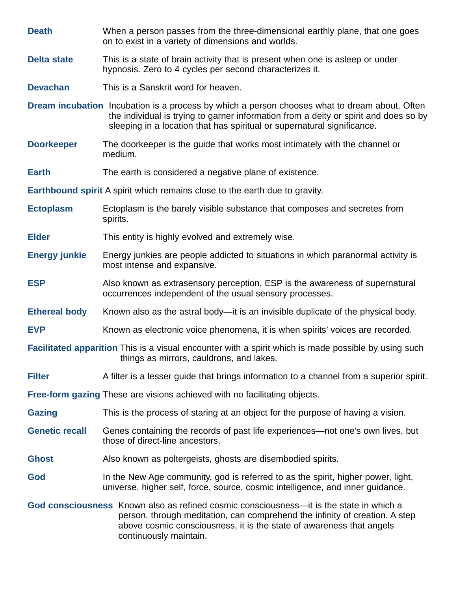| <b>Death</b>                                                                                                                                            | When a person passes from the three-dimensional earthly plane, that one goes<br>on to exist in a variety of dimensions and worlds.                                                                                                                                       |  |
|---------------------------------------------------------------------------------------------------------------------------------------------------------|--------------------------------------------------------------------------------------------------------------------------------------------------------------------------------------------------------------------------------------------------------------------------|--|
| <b>Delta state</b>                                                                                                                                      | This is a state of brain activity that is present when one is asleep or under<br>hypnosis. Zero to 4 cycles per second characterizes it.                                                                                                                                 |  |
| <b>Devachan</b>                                                                                                                                         | This is a Sanskrit word for heaven.                                                                                                                                                                                                                                      |  |
|                                                                                                                                                         | <b>Dream incubation</b> Incubation is a process by which a person chooses what to dream about. Often<br>the individual is trying to garner information from a deity or spirit and does so by<br>sleeping in a location that has spiritual or supernatural significance.  |  |
| <b>Doorkeeper</b>                                                                                                                                       | The doorkeeper is the guide that works most intimately with the channel or<br>medium.                                                                                                                                                                                    |  |
| <b>Earth</b>                                                                                                                                            | The earth is considered a negative plane of existence.                                                                                                                                                                                                                   |  |
|                                                                                                                                                         | <b>Earthbound spirit</b> A spirit which remains close to the earth due to gravity.                                                                                                                                                                                       |  |
| <b>Ectoplasm</b>                                                                                                                                        | Ectoplasm is the barely visible substance that composes and secretes from<br>spirits.                                                                                                                                                                                    |  |
| <b>Elder</b>                                                                                                                                            | This entity is highly evolved and extremely wise.                                                                                                                                                                                                                        |  |
| <b>Energy junkie</b>                                                                                                                                    | Energy junkies are people addicted to situations in which paranormal activity is<br>most intense and expansive.                                                                                                                                                          |  |
| <b>ESP</b>                                                                                                                                              | Also known as extrasensory perception, ESP is the awareness of supernatural<br>occurrences independent of the usual sensory processes.                                                                                                                                   |  |
| <b>Ethereal body</b>                                                                                                                                    | Known also as the astral body—it is an invisible duplicate of the physical body.                                                                                                                                                                                         |  |
| <b>EVP</b>                                                                                                                                              | Known as electronic voice phenomena, it is when spirits' voices are recorded.                                                                                                                                                                                            |  |
| <b>Facilitated apparition</b> This is a visual encounter with a spirit which is made possible by using such<br>things as mirrors, cauldrons, and lakes. |                                                                                                                                                                                                                                                                          |  |
| <b>Filter</b>                                                                                                                                           | A filter is a lesser guide that brings information to a channel from a superior spirit.                                                                                                                                                                                  |  |
| <b>Free-form gazing These are visions achieved with no facilitating objects.</b>                                                                        |                                                                                                                                                                                                                                                                          |  |
| <b>Gazing</b>                                                                                                                                           | This is the process of staring at an object for the purpose of having a vision.                                                                                                                                                                                          |  |
| <b>Genetic recall</b>                                                                                                                                   | Genes containing the records of past life experiences—not one's own lives, but<br>those of direct-line ancestors.                                                                                                                                                        |  |
| <b>Ghost</b>                                                                                                                                            | Also known as poltergeists, ghosts are disembodied spirits.                                                                                                                                                                                                              |  |
| God                                                                                                                                                     | In the New Age community, god is referred to as the spirit, higher power, light,<br>universe, higher self, force, source, cosmic intelligence, and inner guidance.                                                                                                       |  |
|                                                                                                                                                         | God consciousness Known also as refined cosmic consciousness—it is the state in which a<br>person, through meditation, can comprehend the infinity of creation. A step<br>above cosmic consciousness, it is the state of awareness that angels<br>continuously maintain. |  |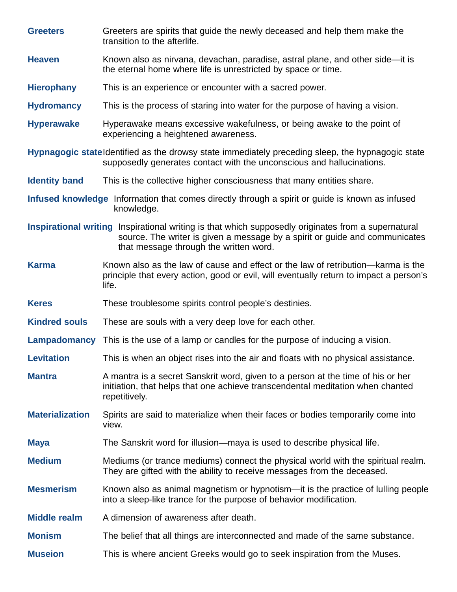| <b>Greeters</b>        | Greeters are spirits that quide the newly deceased and help them make the<br>transition to the afterlife.                                                                                                                    |
|------------------------|------------------------------------------------------------------------------------------------------------------------------------------------------------------------------------------------------------------------------|
| <b>Heaven</b>          | Known also as nirvana, devachan, paradise, astral plane, and other side—it is<br>the eternal home where life is unrestricted by space or time.                                                                               |
| <b>Hierophany</b>      | This is an experience or encounter with a sacred power.                                                                                                                                                                      |
| <b>Hydromancy</b>      | This is the process of staring into water for the purpose of having a vision.                                                                                                                                                |
| <b>Hyperawake</b>      | Hyperawake means excessive wakefulness, or being awake to the point of<br>experiencing a heightened awareness.                                                                                                               |
|                        | Hypnagogic stateldentified as the drowsy state immediately preceding sleep, the hypnagogic state<br>supposedly generates contact with the unconscious and hallucinations.                                                    |
| <b>Identity band</b>   | This is the collective higher consciousness that many entities share.                                                                                                                                                        |
|                        | Infused knowledge Information that comes directly through a spirit or guide is known as infused<br>knowledge.                                                                                                                |
|                        | Inspirational writing Inspirational writing is that which supposedly originates from a supernatural<br>source. The writer is given a message by a spirit or guide and communicates<br>that message through the written word. |
| <b>Karma</b>           | Known also as the law of cause and effect or the law of retribution—karma is the<br>principle that every action, good or evil, will eventually return to impact a person's<br>life.                                          |
| <b>Keres</b>           | These troublesome spirits control people's destinies.                                                                                                                                                                        |
| <b>Kindred souls</b>   | These are souls with a very deep love for each other.                                                                                                                                                                        |
| Lampadomancy           | This is the use of a lamp or candles for the purpose of inducing a vision.                                                                                                                                                   |
| <b>Levitation</b>      | This is when an object rises into the air and floats with no physical assistance.                                                                                                                                            |
| <b>Mantra</b>          | A mantra is a secret Sanskrit word, given to a person at the time of his or her<br>initiation, that helps that one achieve transcendental meditation when chanted<br>repetitively.                                           |
| <b>Materialization</b> | Spirits are said to materialize when their faces or bodies temporarily come into<br>view.                                                                                                                                    |
| <b>Maya</b>            | The Sanskrit word for illusion—maya is used to describe physical life.                                                                                                                                                       |
| <b>Medium</b>          | Mediums (or trance mediums) connect the physical world with the spiritual realm.<br>They are gifted with the ability to receive messages from the deceased.                                                                  |
| <b>Mesmerism</b>       | Known also as animal magnetism or hypnotism—it is the practice of lulling people<br>into a sleep-like trance for the purpose of behavior modification.                                                                       |
| <b>Middle realm</b>    | A dimension of awareness after death.                                                                                                                                                                                        |
| <b>Monism</b>          | The belief that all things are interconnected and made of the same substance.                                                                                                                                                |
| <b>Museion</b>         | This is where ancient Greeks would go to seek inspiration from the Muses.                                                                                                                                                    |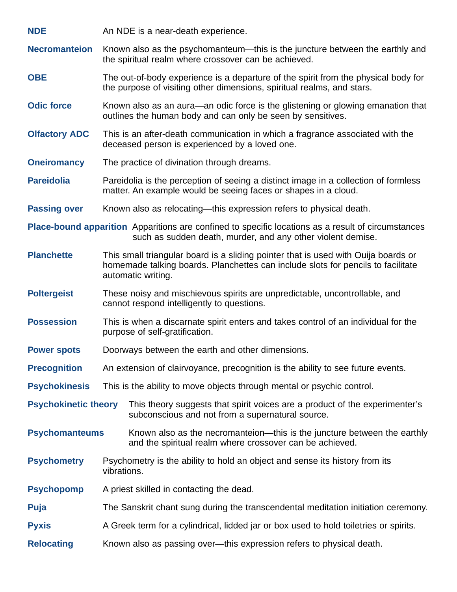**NDE** An NDE is a near-death experience.

**Necromanteion** Known also as the psychomanteum—this is the juncture between the earthly and the spiritual realm where crossover can be achieved.

- **OBE** The out-of-body experience is a departure of the spirit from the physical body for the purpose of visiting other dimensions, spiritual realms, and stars.
- **Odic force** Known also as an aura—an odic force is the glistening or glowing emanation that outlines the human body and can only be seen by sensitives.
- **Olfactory ADC** This is an after-death communication in which a fragrance associated with the deceased person is experienced by a loved one.
- **Oneiromancy** The practice of divination through dreams.
- **Pareidolia** Pareidolia is the perception of seeing a distinct image in a collection of formless matter. An example would be seeing faces or shapes in a cloud.
- **Passing over** Known also as relocating—this expression refers to physical death.

**Place-bound apparition** Apparitions are confined to specific locations as a result of circumstances such as sudden death, murder, and any other violent demise.

- **Planchette** This small triangular board is a sliding pointer that is used with Ouija boards or homemade talking boards. Planchettes can include slots for pencils to facilitate automatic writing.
- **Poltergeist** These noisy and mischievous spirits are unpredictable, uncontrollable, and cannot respond intelligently to questions.
- **Possession** This is when a discarnate spirit enters and takes control of an individual for the purpose of self-gratification.
- **Power spots** Doorways between the earth and other dimensions.
- **Precognition** An extension of clairvoyance, precognition is the ability to see future events.
- **Psychokinesis** This is the ability to move objects through mental or psychic control.
- **Psychokinetic theory** This theory suggests that spirit voices are a product of the experimenter's subconscious and not from a supernatural source.
- **Psychomanteums** Known also as the necromanteion—this is the juncture between the earthly and the spiritual realm where crossover can be achieved.
- **Psychometry** Psychometry is the ability to hold an object and sense its history from its vibrations.
- **Psychopomp** A priest skilled in contacting the dead.
- **Puja** The Sanskrit chant sung during the transcendental meditation initiation ceremony.
- **Pyxis** A Greek term for a cylindrical, lidded jar or box used to hold toiletries or spirits.
- **Relocating** Known also as passing over—this expression refers to physical death.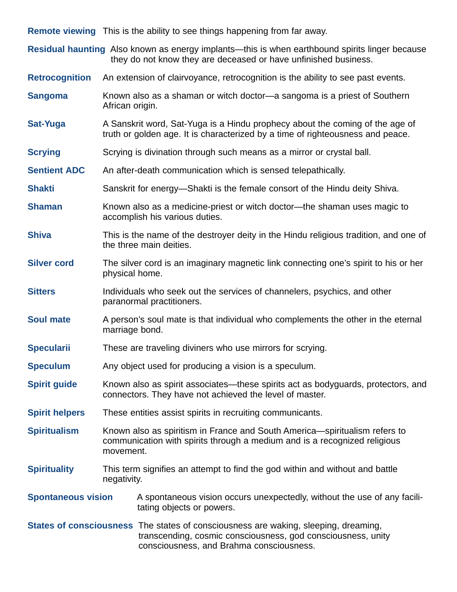**Remote viewing** This is the ability to see things happening from far away.

**Residual haunting** Also known as energy implants—this is when earthbound spirits linger because they do not know they are deceased or have unfinished business.

**Retrocognition** An extension of clairvoyance, retrocognition is the ability to see past events.

- **Sangoma** Known also as a shaman or witch doctor—a sangoma is a priest of Southern African origin.
- **Sat-Yuga** A Sanskrit word, Sat-Yuga is a Hindu prophecy about the coming of the age of truth or golden age. It is characterized by a time of righteousness and peace.
- **Scrying** Scrying is divination through such means as a mirror or crystal ball.
- **Sentient ADC** An after-death communication which is sensed telepathically.
- **Shakti** Sanskrit for energy—Shakti is the female consort of the Hindu deity Shiva.
- **Shaman** Known also as a medicine-priest or witch doctor—the shaman uses magic to accomplish his various duties.
- **Shiva** This is the name of the destroyer deity in the Hindu religious tradition, and one of the three main deities.
- **Silver cord** The silver cord is an imaginary magnetic link connecting one's spirit to his or her physical home.
- **Sitters** Individuals who seek out the services of channelers, psychics, and other paranormal practitioners.
- **Soul mate** A person's soul mate is that individual who complements the other in the eternal marriage bond.
- **Specularii** These are traveling diviners who use mirrors for scrying.
- **Speculum** Any object used for producing a vision is a speculum.
- **Spirit guide** Known also as spirit associates—these spirits act as bodyguards, protectors, and connectors. They have not achieved the level of master.
- **Spirit helpers** These entities assist spirits in recruiting communicants.
- **Spiritualism** Known also as spiritism in France and South America—spiritualism refers to communication with spirits through a medium and is a recognized religious movement.
- **Spirituality** This term signifies an attempt to find the god within and without and battle negativity.
- **Spontaneous vision** A spontaneous vision occurs unexpectedly, without the use of any facilitating objects or powers.
- **States of consciousness** The states of consciousness are waking, sleeping, dreaming, transcending, cosmic consciousness, god consciousness, unity consciousness, and Brahma consciousness.